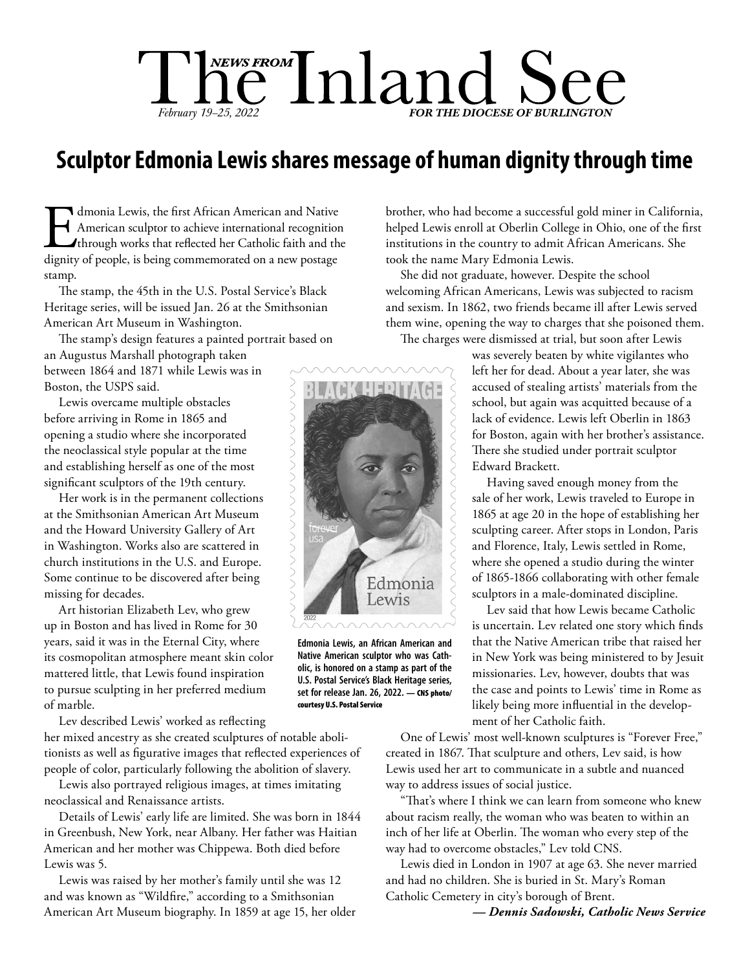# $\prod_{February} \prod_{19-25, 2022}$   $\prod_{202}$   $\prod_{\text{FOR THE DIOCESE OF BURLINGTON}}$

### **Sculptor Edmonia Lewis shares message of human dignity through time**

Imponia Lewis, the first African American and Native<br>American sculptor to achieve international recognition<br>through works that reflected her Catholic faith and the<br>dignity of people, is being commemorated on a new postage American sculptor to achieve international recognition through works that reflected her Catholic faith and the dignity of people, is being commemorated on a new postage stamp.

The stamp, the 45th in the U.S. Postal Service's Black Heritage series, will be issued Jan. 26 at the Smithsonian American Art Museum in Washington.

The stamp's design features a painted portrait based on an Augustus Marshall photograph taken between 1864 and 1871 while Lewis was in Boston, the USPS said.

Lewis overcame multiple obstacles before arriving in Rome in 1865 and opening a studio where she incorporated the neoclassical style popular at the time and establishing herself as one of the most significant sculptors of the 19th century.

Her work is in the permanent collections at the Smithsonian American Art Museum and the Howard University Gallery of Art in Washington. Works also are scattered in church institutions in the U.S. and Europe. Some continue to be discovered after being missing for decades.

Art historian Elizabeth Lev, who grew up in Boston and has lived in Rome for 30 years, said it was in the Eternal City, where its cosmopolitan atmosphere meant skin color mattered little, that Lewis found inspiration to pursue sculpting in her preferred medium of marble.

Lev described Lewis' worked as reflecting

her mixed ancestry as she created sculptures of notable abolitionists as well as figurative images that reflected experiences of people of color, particularly following the abolition of slavery.

Lewis also portrayed religious images, at times imitating neoclassical and Renaissance artists.

Details of Lewis' early life are limited. She was born in 1844 in Greenbush, New York, near Albany. Her father was Haitian American and her mother was Chippewa. Both died before Lewis was 5.

Lewis was raised by her mother's family until she was 12 and was known as "Wildfire," according to a Smithsonian American Art Museum biography. In 1859 at age 15, her older brother, who had become a successful gold miner in California, helped Lewis enroll at Oberlin College in Ohio, one of the first institutions in the country to admit African Americans. She took the name Mary Edmonia Lewis.

She did not graduate, however. Despite the school welcoming African Americans, Lewis was subjected to racism and sexism. In 1862, two friends became ill after Lewis served them wine, opening the way to charges that she poisoned them.

The charges were dismissed at trial, but soon after Lewis

was severely beaten by white vigilantes who left her for dead. About a year later, she was accused of stealing artists' materials from the school, but again was acquitted because of a lack of evidence. Lewis left Oberlin in 1863 for Boston, again with her brother's assistance. There she studied under portrait sculptor Edward Brackett.

Having saved enough money from the sale of her work, Lewis traveled to Europe in 1865 at age 20 in the hope of establishing her sculpting career. After stops in London, Paris and Florence, Italy, Lewis settled in Rome, where she opened a studio during the winter of 1865-1866 collaborating with other female sculptors in a male-dominated discipline.

Lev said that how Lewis became Catholic is uncertain. Lev related one story which finds that the Native American tribe that raised her in New York was being ministered to by Jesuit missionaries. Lev, however, doubts that was the case and points to Lewis' time in Rome as likely being more influential in the development of her Catholic faith.

One of Lewis' most well-known sculptures is "Forever Free," created in 1867. That sculpture and others, Lev said, is how Lewis used her art to communicate in a subtle and nuanced way to address issues of social justice.

"That's where I think we can learn from someone who knew about racism really, the woman who was beaten to within an inch of her life at Oberlin. The woman who every step of the way had to overcome obstacles," Lev told CNS.

Lewis died in London in 1907 at age 63. She never married and had no children. She is buried in St. Mary's Roman Catholic Cemetery in city's borough of Brent.

*— Dennis Sadowski, Catholic News Service*



**Edmonia Lewis, an African American and Native American sculptor who was Catholic, is honored on a stamp as part of the U.S. Postal Service's Black Heritage series,**  set for release Jan. 26, 2022. - CNS photo/ courtesy U.S. Postal Service